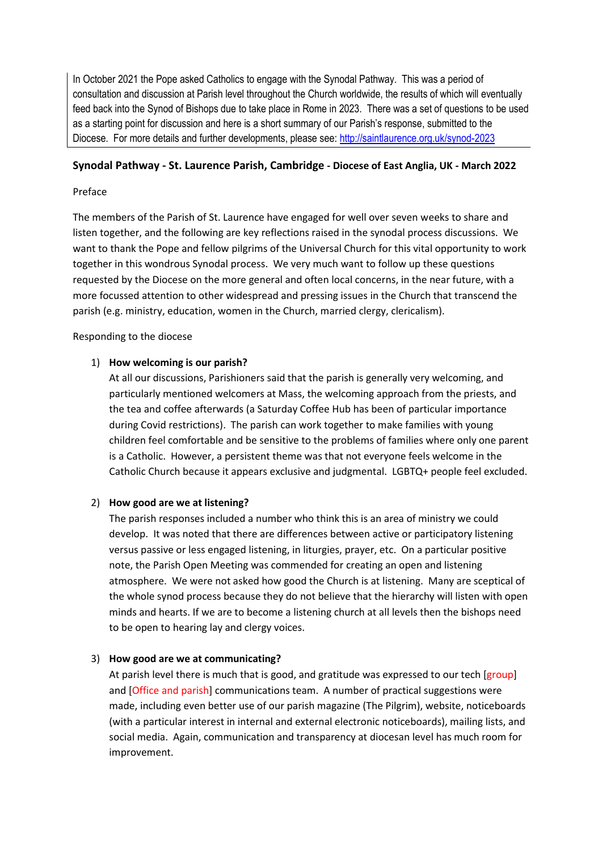In October 2021 the Pope asked Catholics to engage with the Synodal Pathway. This was a period of consultation and discussion at Parish level throughout the Church worldwide, the results of which will eventually feed back into the Synod of Bishops due to take place in Rome in 2023. There was a set of questions to be used as a starting point for discussion and here is a short summary of our Parish's response, submitted to the Diocese. For more details and further developments, please see:<http://saintlaurence.org.uk/synod-2023>

## **Synodal Pathway - St. Laurence Parish, Cambridge - Diocese of East Anglia, UK - March 2022**

## Preface

The members of the Parish of St. Laurence have engaged for well over seven weeks to share and listen together, and the following are key reflections raised in the synodal process discussions. We want to thank the Pope and fellow pilgrims of the Universal Church for this vital opportunity to work together in this wondrous Synodal process. We very much want to follow up these questions requested by the Diocese on the more general and often local concerns, in the near future, with a more focussed attention to other widespread and pressing issues in the Church that transcend the parish (e.g. ministry, education, women in the Church, married clergy, clericalism).

Responding to the diocese

# 1) **How welcoming is our parish?**

At all our discussions, Parishioners said that the parish is generally very welcoming, and particularly mentioned welcomers at Mass, the welcoming approach from the priests, and the tea and coffee afterwards (a Saturday Coffee Hub has been of particular importance during Covid restrictions). The parish can work together to make families with young children feel comfortable and be sensitive to the problems of families where only one parent is a Catholic. However, a persistent theme was that not everyone feels welcome in the Catholic Church because it appears exclusive and judgmental. LGBTQ+ people feel excluded.

# 2) **How good are we at listening?**

The parish responses included a number who think this is an area of ministry we could develop. It was noted that there are differences between active or participatory listening versus passive or less engaged listening, in liturgies, prayer, etc. On a particular positive note, the Parish Open Meeting was commended for creating an open and listening atmosphere. We were not asked how good the Church is at listening. Many are sceptical of the whole synod process because they do not believe that the hierarchy will listen with open minds and hearts. If we are to become a listening church at all levels then the bishops need to be open to hearing lay and clergy voices.

# 3) **How good are we at communicating?**

At parish level there is much that is good, and gratitude was expressed to our tech [group] and [Office and parish] communications team. A number of practical suggestions were made, including even better use of our parish magazine (The Pilgrim), website, noticeboards (with a particular interest in internal and external electronic noticeboards), mailing lists, and social media. Again, communication and transparency at diocesan level has much room for improvement.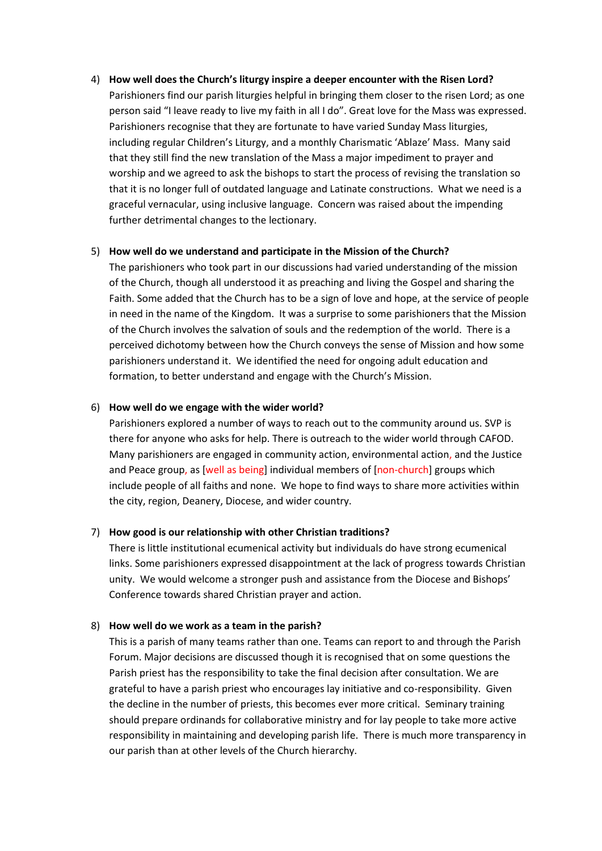#### 4) **How well does the Church's liturgy inspire a deeper encounter with the Risen Lord?**

Parishioners find our parish liturgies helpful in bringing them closer to the risen Lord; as one person said "I leave ready to live my faith in all I do". Great love for the Mass was expressed. Parishioners recognise that they are fortunate to have varied Sunday Mass liturgies, including regular Children's Liturgy, and a monthly Charismatic 'Ablaze' Mass. Many said that they still find the new translation of the Mass a major impediment to prayer and worship and we agreed to ask the bishops to start the process of revising the translation so that it is no longer full of outdated language and Latinate constructions. What we need is a graceful vernacular, using inclusive language. Concern was raised about the impending further detrimental changes to the lectionary.

## 5) **How well do we understand and participate in the Mission of the Church?**

The parishioners who took part in our discussions had varied understanding of the mission of the Church, though all understood it as preaching and living the Gospel and sharing the Faith. Some added that the Church has to be a sign of love and hope, at the service of people in need in the name of the Kingdom. It was a surprise to some parishioners that the Mission of the Church involves the salvation of souls and the redemption of the world. There is a perceived dichotomy between how the Church conveys the sense of Mission and how some parishioners understand it. We identified the need for ongoing adult education and formation, to better understand and engage with the Church's Mission.

#### 6) **How well do we engage with the wider world?**

Parishioners explored a number of ways to reach out to the community around us. SVP is there for anyone who asks for help. There is outreach to the wider world through CAFOD. Many parishioners are engaged in community action, environmental action, and the Justice and Peace group, as [well as being] individual members of [non-church] groups which include people of all faiths and none. We hope to find ways to share more activities within the city, region, Deanery, Diocese, and wider country.

## 7) **How good is our relationship with other Christian traditions?**

There is little institutional ecumenical activity but individuals do have strong ecumenical links. Some parishioners expressed disappointment at the lack of progress towards Christian unity. We would welcome a stronger push and assistance from the Diocese and Bishops' Conference towards shared Christian prayer and action.

## 8) **How well do we work as a team in the parish?**

This is a parish of many teams rather than one. Teams can report to and through the Parish Forum. Major decisions are discussed though it is recognised that on some questions the Parish priest has the responsibility to take the final decision after consultation. We are grateful to have a parish priest who encourages lay initiative and co-responsibility. Given the decline in the number of priests, this becomes ever more critical. Seminary training should prepare ordinands for collaborative ministry and for lay people to take more active responsibility in maintaining and developing parish life. There is much more transparency in our parish than at other levels of the Church hierarchy.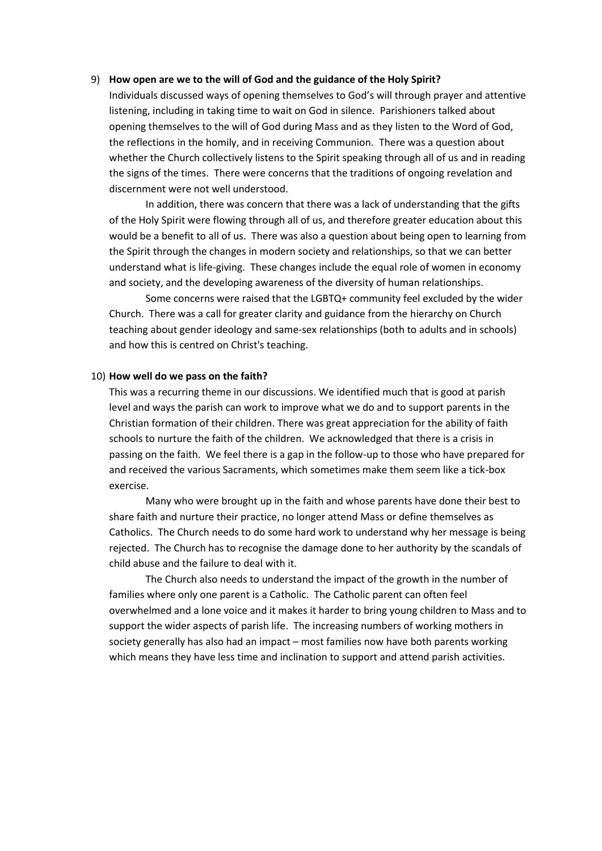#### 9) **How open are we to the will of God and the guidance of the Holy Spirit?**

Individuals discussed ways of opening themselves to God's will through prayer and attentive listening, including in taking time to wait on God in silence. Parishioners talked about opening themselves to the will of God during Mass and as they listen to the Word of God, the reflections in the homily, and in receiving Communion. There was a question about whether the Church collectively listens to the Spirit speaking through all of us and in reading the signs of the times. There were concerns that the traditions of ongoing revelation and discernment were not well understood.

In addition, there was concern that there was a lack of understanding that the gifts of the Holy Spirit were flowing through all of us, and therefore greater education about this would be a benefit to all of us. There was also a question about being open to learning from the Spirit through the changes in modern society and relationships, so that we can better understand what is life-giving. These changes include the equal role of women in economy and society, and the developing awareness of the diversity of human relationships.

Some concerns were raised that the LGBTQ+ community feel excluded by the wider Church. There was a call for greater clarity and guidance from the hierarchy on Church teaching about gender ideology and same-sex relationships (both to adults and in schools) and how this is centred on Christ's teaching.

#### 10) **How well do we pass on the faith?**

This was a recurring theme in our discussions. We identified much that is good at parish level and ways the parish can work to improve what we do and to support parents in the Christian formation of their children. There was great appreciation for the ability of faith schools to nurture the faith of the children. We acknowledged that there is a crisis in passing on the faith. We feel there is a gap in the follow-up to those who have prepared for and received the various Sacraments, which sometimes make them seem like a tick-box exercise.

Many who were brought up in the faith and whose parents have done their best to share faith and nurture their practice, no longer attend Mass or define themselves as Catholics. The Church needs to do some hard work to understand why her message is being rejected. The Church has to recognise the damage done to her authority by the scandals of child abuse and the failure to deal with it.

The Church also needs to understand the impact of the growth in the number of families where only one parent is a Catholic. The Catholic parent can often feel overwhelmed and a lone voice and it makes it harder to bring young children to Mass and to support the wider aspects of parish life. The increasing numbers of working mothers in society generally has also had an impact – most families now have both parents working which means they have less time and inclination to support and attend parish activities.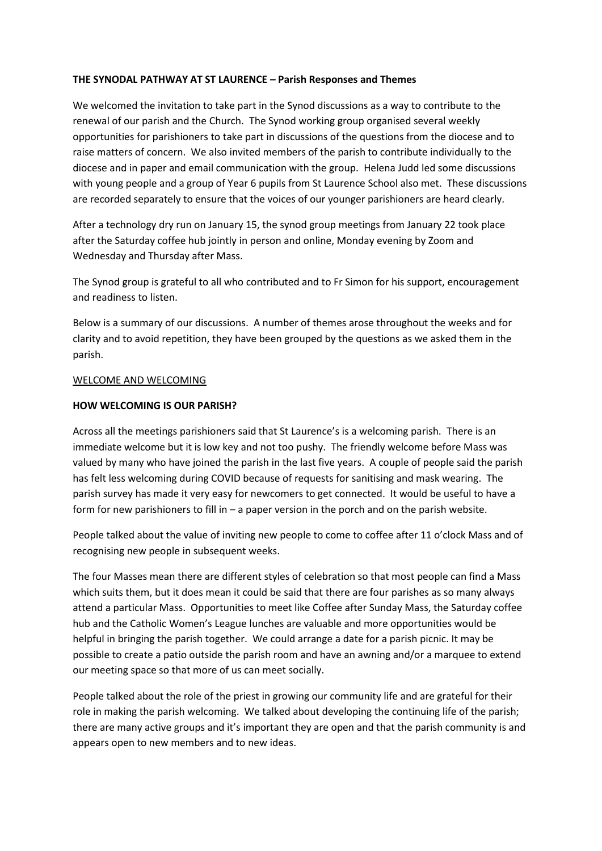## **THE SYNODAL PATHWAY AT ST LAURENCE – Parish Responses and Themes**

We welcomed the invitation to take part in the Synod discussions as a way to contribute to the renewal of our parish and the Church. The Synod working group organised several weekly opportunities for parishioners to take part in discussions of the questions from the diocese and to raise matters of concern. We also invited members of the parish to contribute individually to the diocese and in paper and email communication with the group. Helena Judd led some discussions with young people and a group of Year 6 pupils from St Laurence School also met. These discussions are recorded separately to ensure that the voices of our younger parishioners are heard clearly.

After a technology dry run on January 15, the synod group meetings from January 22 took place after the Saturday coffee hub jointly in person and online, Monday evening by Zoom and Wednesday and Thursday after Mass.

The Synod group is grateful to all who contributed and to Fr Simon for his support, encouragement and readiness to listen.

Below is a summary of our discussions. A number of themes arose throughout the weeks and for clarity and to avoid repetition, they have been grouped by the questions as we asked them in the parish.

## WELCOME AND WELCOMING

## **HOW WELCOMING IS OUR PARISH?**

Across all the meetings parishioners said that St Laurence's is a welcoming parish. There is an immediate welcome but it is low key and not too pushy. The friendly welcome before Mass was valued by many who have joined the parish in the last five years. A couple of people said the parish has felt less welcoming during COVID because of requests for sanitising and mask wearing. The parish survey has made it very easy for newcomers to get connected. It would be useful to have a form for new parishioners to fill in  $-$  a paper version in the porch and on the parish website.

People talked about the value of inviting new people to come to coffee after 11 o'clock Mass and of recognising new people in subsequent weeks.

The four Masses mean there are different styles of celebration so that most people can find a Mass which suits them, but it does mean it could be said that there are four parishes as so many always attend a particular Mass. Opportunities to meet like Coffee after Sunday Mass, the Saturday coffee hub and the Catholic Women's League lunches are valuable and more opportunities would be helpful in bringing the parish together. We could arrange a date for a parish picnic. It may be possible to create a patio outside the parish room and have an awning and/or a marquee to extend our meeting space so that more of us can meet socially.

People talked about the role of the priest in growing our community life and are grateful for their role in making the parish welcoming. We talked about developing the continuing life of the parish; there are many active groups and it's important they are open and that the parish community is and appears open to new members and to new ideas.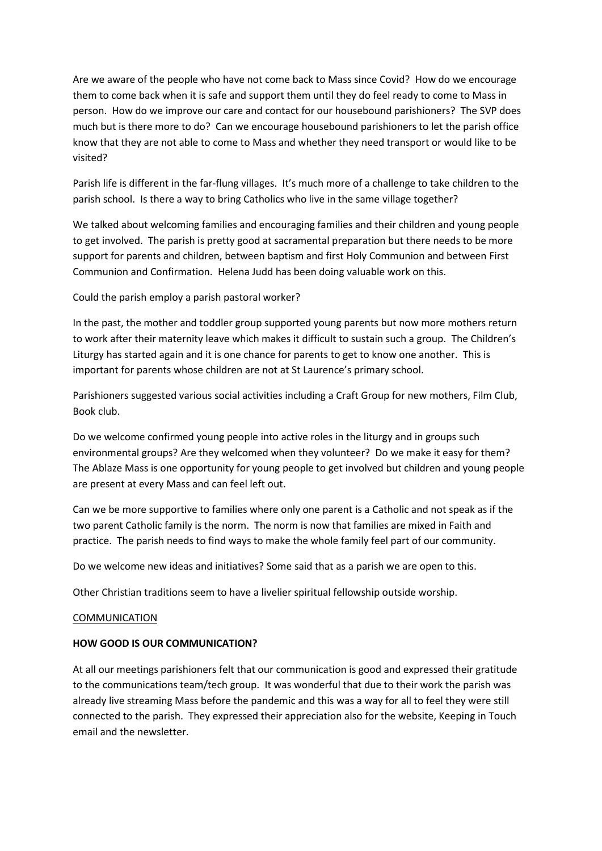Are we aware of the people who have not come back to Mass since Covid? How do we encourage them to come back when it is safe and support them until they do feel ready to come to Mass in person. How do we improve our care and contact for our housebound parishioners? The SVP does much but is there more to do? Can we encourage housebound parishioners to let the parish office know that they are not able to come to Mass and whether they need transport or would like to be visited?

Parish life is different in the far-flung villages. It's much more of a challenge to take children to the parish school. Is there a way to bring Catholics who live in the same village together?

We talked about welcoming families and encouraging families and their children and young people to get involved. The parish is pretty good at sacramental preparation but there needs to be more support for parents and children, between baptism and first Holy Communion and between First Communion and Confirmation. Helena Judd has been doing valuable work on this.

Could the parish employ a parish pastoral worker?

In the past, the mother and toddler group supported young parents but now more mothers return to work after their maternity leave which makes it difficult to sustain such a group. The Children's Liturgy has started again and it is one chance for parents to get to know one another. This is important for parents whose children are not at St Laurence's primary school.

Parishioners suggested various social activities including a Craft Group for new mothers, Film Club, Book club.

Do we welcome confirmed young people into active roles in the liturgy and in groups such environmental groups? Are they welcomed when they volunteer? Do we make it easy for them? The Ablaze Mass is one opportunity for young people to get involved but children and young people are present at every Mass and can feel left out.

Can we be more supportive to families where only one parent is a Catholic and not speak as if the two parent Catholic family is the norm. The norm is now that families are mixed in Faith and practice. The parish needs to find ways to make the whole family feel part of our community.

Do we welcome new ideas and initiatives? Some said that as a parish we are open to this.

Other Christian traditions seem to have a livelier spiritual fellowship outside worship.

## COMMUNICATION

## **HOW GOOD IS OUR COMMUNICATION?**

At all our meetings parishioners felt that our communication is good and expressed their gratitude to the communications team/tech group. It was wonderful that due to their work the parish was already live streaming Mass before the pandemic and this was a way for all to feel they were still connected to the parish. They expressed their appreciation also for the website, Keeping in Touch email and the newsletter.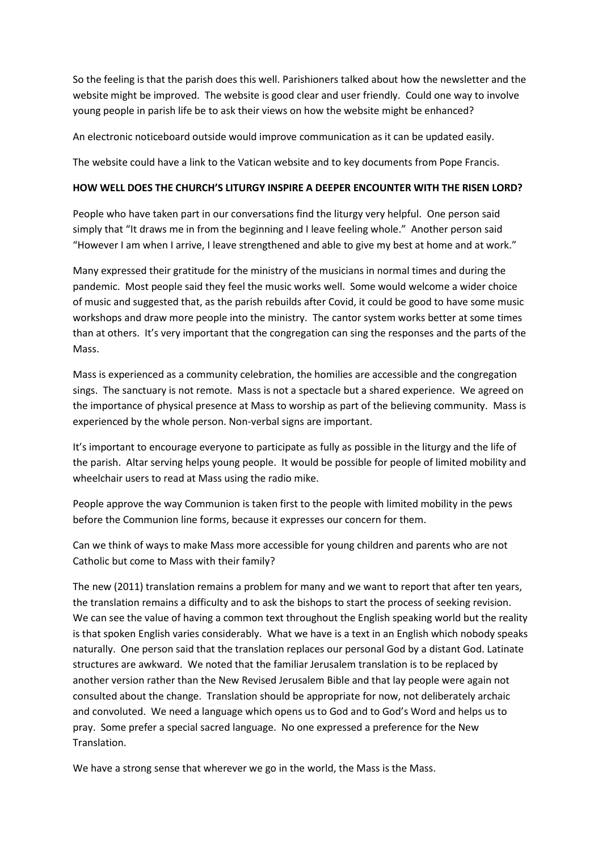So the feeling is that the parish does this well. Parishioners talked about how the newsletter and the website might be improved. The website is good clear and user friendly. Could one way to involve young people in parish life be to ask their views on how the website might be enhanced?

An electronic noticeboard outside would improve communication as it can be updated easily.

The website could have a link to the Vatican website and to key documents from Pope Francis.

## **HOW WELL DOES THE CHURCH'S LITURGY INSPIRE A DEEPER ENCOUNTER WITH THE RISEN LORD?**

People who have taken part in our conversations find the liturgy very helpful. One person said simply that "It draws me in from the beginning and I leave feeling whole." Another person said "However I am when I arrive, I leave strengthened and able to give my best at home and at work."

Many expressed their gratitude for the ministry of the musicians in normal times and during the pandemic. Most people said they feel the music works well. Some would welcome a wider choice of music and suggested that, as the parish rebuilds after Covid, it could be good to have some music workshops and draw more people into the ministry. The cantor system works better at some times than at others. It's very important that the congregation can sing the responses and the parts of the Mass.

Mass is experienced as a community celebration, the homilies are accessible and the congregation sings. The sanctuary is not remote. Mass is not a spectacle but a shared experience. We agreed on the importance of physical presence at Mass to worship as part of the believing community. Mass is experienced by the whole person. Non-verbal signs are important.

It's important to encourage everyone to participate as fully as possible in the liturgy and the life of the parish. Altar serving helps young people. It would be possible for people of limited mobility and wheelchair users to read at Mass using the radio mike.

People approve the way Communion is taken first to the people with limited mobility in the pews before the Communion line forms, because it expresses our concern for them.

Can we think of ways to make Mass more accessible for young children and parents who are not Catholic but come to Mass with their family?

The new (2011) translation remains a problem for many and we want to report that after ten years, the translation remains a difficulty and to ask the bishops to start the process of seeking revision. We can see the value of having a common text throughout the English speaking world but the reality is that spoken English varies considerably. What we have is a text in an English which nobody speaks naturally. One person said that the translation replaces our personal God by a distant God. Latinate structures are awkward. We noted that the familiar Jerusalem translation is to be replaced by another version rather than the New Revised Jerusalem Bible and that lay people were again not consulted about the change. Translation should be appropriate for now, not deliberately archaic and convoluted. We need a language which opens us to God and to God's Word and helps us to pray. Some prefer a special sacred language. No one expressed a preference for the New Translation.

We have a strong sense that wherever we go in the world, the Mass is the Mass.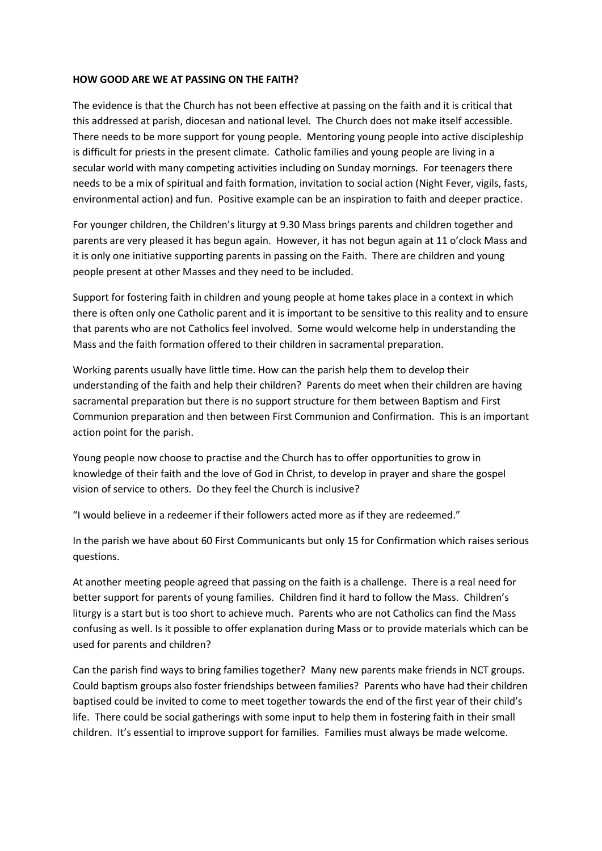#### **HOW GOOD ARE WE AT PASSING ON THE FAITH?**

The evidence is that the Church has not been effective at passing on the faith and it is critical that this addressed at parish, diocesan and national level. The Church does not make itself accessible. There needs to be more support for young people. Mentoring young people into active discipleship is difficult for priests in the present climate. Catholic families and young people are living in a secular world with many competing activities including on Sunday mornings. For teenagers there needs to be a mix of spiritual and faith formation, invitation to social action (Night Fever, vigils, fasts, environmental action) and fun. Positive example can be an inspiration to faith and deeper practice.

For younger children, the Children's liturgy at 9.30 Mass brings parents and children together and parents are very pleased it has begun again. However, it has not begun again at 11 o'clock Mass and it is only one initiative supporting parents in passing on the Faith. There are children and young people present at other Masses and they need to be included.

Support for fostering faith in children and young people at home takes place in a context in which there is often only one Catholic parent and it is important to be sensitive to this reality and to ensure that parents who are not Catholics feel involved. Some would welcome help in understanding the Mass and the faith formation offered to their children in sacramental preparation.

Working parents usually have little time. How can the parish help them to develop their understanding of the faith and help their children? Parents do meet when their children are having sacramental preparation but there is no support structure for them between Baptism and First Communion preparation and then between First Communion and Confirmation. This is an important action point for the parish.

Young people now choose to practise and the Church has to offer opportunities to grow in knowledge of their faith and the love of God in Christ, to develop in prayer and share the gospel vision of service to others. Do they feel the Church is inclusive?

"I would believe in a redeemer if their followers acted more as if they are redeemed."

In the parish we have about 60 First Communicants but only 15 for Confirmation which raises serious questions.

At another meeting people agreed that passing on the faith is a challenge. There is a real need for better support for parents of young families. Children find it hard to follow the Mass. Children's liturgy is a start but is too short to achieve much. Parents who are not Catholics can find the Mass confusing as well. Is it possible to offer explanation during Mass or to provide materials which can be used for parents and children?

Can the parish find ways to bring families together? Many new parents make friends in NCT groups. Could baptism groups also foster friendships between families? Parents who have had their children baptised could be invited to come to meet together towards the end of the first year of their child's life. There could be social gatherings with some input to help them in fostering faith in their small children. It's essential to improve support for families. Families must always be made welcome.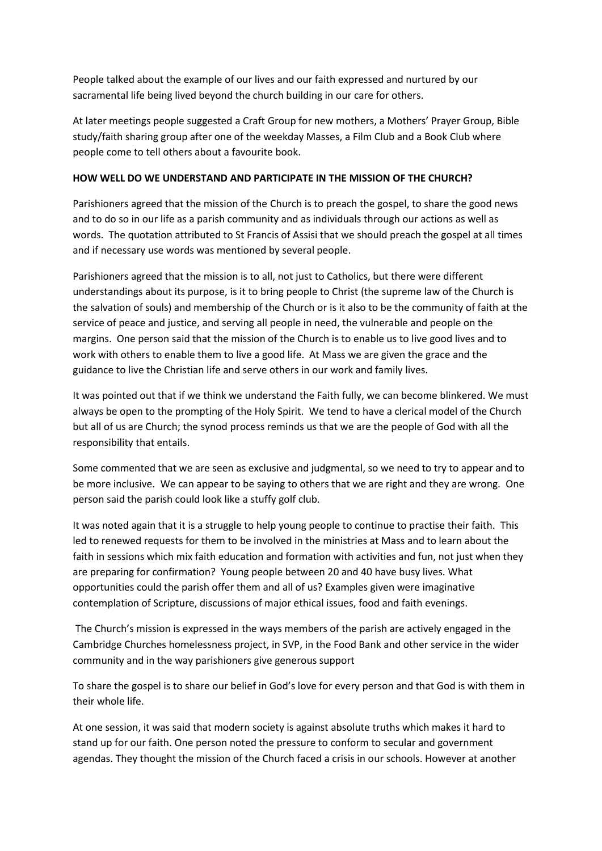People talked about the example of our lives and our faith expressed and nurtured by our sacramental life being lived beyond the church building in our care for others.

At later meetings people suggested a Craft Group for new mothers, a Mothers' Prayer Group, Bible study/faith sharing group after one of the weekday Masses, a Film Club and a Book Club where people come to tell others about a favourite book.

## **HOW WELL DO WE UNDERSTAND AND PARTICIPATE IN THE MISSION OF THE CHURCH?**

Parishioners agreed that the mission of the Church is to preach the gospel, to share the good news and to do so in our life as a parish community and as individuals through our actions as well as words. The quotation attributed to St Francis of Assisi that we should preach the gospel at all times and if necessary use words was mentioned by several people.

Parishioners agreed that the mission is to all, not just to Catholics, but there were different understandings about its purpose, is it to bring people to Christ (the supreme law of the Church is the salvation of souls) and membership of the Church or is it also to be the community of faith at the service of peace and justice, and serving all people in need, the vulnerable and people on the margins. One person said that the mission of the Church is to enable us to live good lives and to work with others to enable them to live a good life. At Mass we are given the grace and the guidance to live the Christian life and serve others in our work and family lives.

It was pointed out that if we think we understand the Faith fully, we can become blinkered. We must always be open to the prompting of the Holy Spirit. We tend to have a clerical model of the Church but all of us are Church; the synod process reminds us that we are the people of God with all the responsibility that entails.

Some commented that we are seen as exclusive and judgmental, so we need to try to appear and to be more inclusive. We can appear to be saying to others that we are right and they are wrong. One person said the parish could look like a stuffy golf club.

It was noted again that it is a struggle to help young people to continue to practise their faith. This led to renewed requests for them to be involved in the ministries at Mass and to learn about the faith in sessions which mix faith education and formation with activities and fun, not just when they are preparing for confirmation? Young people between 20 and 40 have busy lives. What opportunities could the parish offer them and all of us? Examples given were imaginative contemplation of Scripture, discussions of major ethical issues, food and faith evenings.

The Church's mission is expressed in the ways members of the parish are actively engaged in the Cambridge Churches homelessness project, in SVP, in the Food Bank and other service in the wider community and in the way parishioners give generous support

To share the gospel is to share our belief in God's love for every person and that God is with them in their whole life.

At one session, it was said that modern society is against absolute truths which makes it hard to stand up for our faith. One person noted the pressure to conform to secular and government agendas. They thought the mission of the Church faced a crisis in our schools. However at another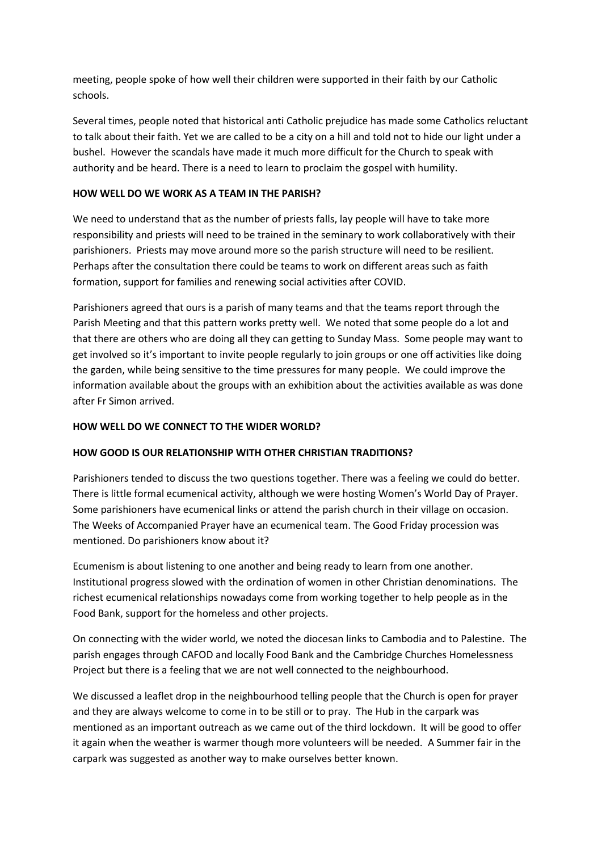meeting, people spoke of how well their children were supported in their faith by our Catholic schools.

Several times, people noted that historical anti Catholic prejudice has made some Catholics reluctant to talk about their faith. Yet we are called to be a city on a hill and told not to hide our light under a bushel. However the scandals have made it much more difficult for the Church to speak with authority and be heard. There is a need to learn to proclaim the gospel with humility.

# **HOW WELL DO WE WORK AS A TEAM IN THE PARISH?**

We need to understand that as the number of priests falls, lay people will have to take more responsibility and priests will need to be trained in the seminary to work collaboratively with their parishioners. Priests may move around more so the parish structure will need to be resilient. Perhaps after the consultation there could be teams to work on different areas such as faith formation, support for families and renewing social activities after COVID.

Parishioners agreed that ours is a parish of many teams and that the teams report through the Parish Meeting and that this pattern works pretty well. We noted that some people do a lot and that there are others who are doing all they can getting to Sunday Mass. Some people may want to get involved so it's important to invite people regularly to join groups or one off activities like doing the garden, while being sensitive to the time pressures for many people. We could improve the information available about the groups with an exhibition about the activities available as was done after Fr Simon arrived.

## **HOW WELL DO WE CONNECT TO THE WIDER WORLD?**

# **HOW GOOD IS OUR RELATIONSHIP WITH OTHER CHRISTIAN TRADITIONS?**

Parishioners tended to discuss the two questions together. There was a feeling we could do better. There is little formal ecumenical activity, although we were hosting Women's World Day of Prayer. Some parishioners have ecumenical links or attend the parish church in their village on occasion. The Weeks of Accompanied Prayer have an ecumenical team. The Good Friday procession was mentioned. Do parishioners know about it?

Ecumenism is about listening to one another and being ready to learn from one another. Institutional progress slowed with the ordination of women in other Christian denominations. The richest ecumenical relationships nowadays come from working together to help people as in the Food Bank, support for the homeless and other projects.

On connecting with the wider world, we noted the diocesan links to Cambodia and to Palestine. The parish engages through CAFOD and locally Food Bank and the Cambridge Churches Homelessness Project but there is a feeling that we are not well connected to the neighbourhood.

We discussed a leaflet drop in the neighbourhood telling people that the Church is open for prayer and they are always welcome to come in to be still or to pray. The Hub in the carpark was mentioned as an important outreach as we came out of the third lockdown. It will be good to offer it again when the weather is warmer though more volunteers will be needed. A Summer fair in the carpark was suggested as another way to make ourselves better known.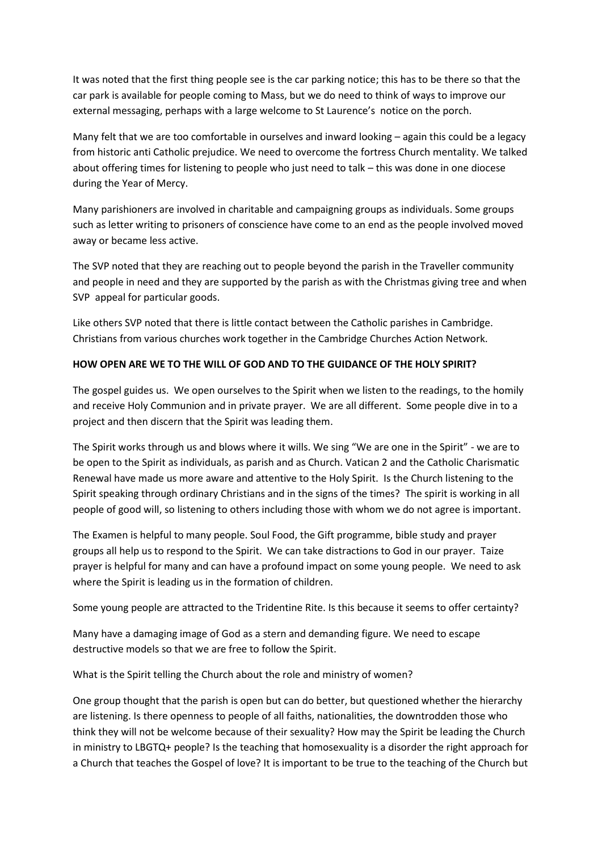It was noted that the first thing people see is the car parking notice; this has to be there so that the car park is available for people coming to Mass, but we do need to think of ways to improve our external messaging, perhaps with a large welcome to St Laurence's notice on the porch.

Many felt that we are too comfortable in ourselves and inward looking – again this could be a legacy from historic anti Catholic prejudice. We need to overcome the fortress Church mentality. We talked about offering times for listening to people who just need to talk – this was done in one diocese during the Year of Mercy.

Many parishioners are involved in charitable and campaigning groups as individuals. Some groups such as letter writing to prisoners of conscience have come to an end as the people involved moved away or became less active.

The SVP noted that they are reaching out to people beyond the parish in the Traveller community and people in need and they are supported by the parish as with the Christmas giving tree and when SVP appeal for particular goods.

Like others SVP noted that there is little contact between the Catholic parishes in Cambridge. Christians from various churches work together in the Cambridge Churches Action Network.

# **HOW OPEN ARE WE TO THE WILL OF GOD AND TO THE GUIDANCE OF THE HOLY SPIRIT?**

The gospel guides us. We open ourselves to the Spirit when we listen to the readings, to the homily and receive Holy Communion and in private prayer. We are all different. Some people dive in to a project and then discern that the Spirit was leading them.

The Spirit works through us and blows where it wills. We sing "We are one in the Spirit" - we are to be open to the Spirit as individuals, as parish and as Church. Vatican 2 and the Catholic Charismatic Renewal have made us more aware and attentive to the Holy Spirit. Is the Church listening to the Spirit speaking through ordinary Christians and in the signs of the times? The spirit is working in all people of good will, so listening to others including those with whom we do not agree is important.

The Examen is helpful to many people. Soul Food, the Gift programme, bible study and prayer groups all help us to respond to the Spirit. We can take distractions to God in our prayer. Taize prayer is helpful for many and can have a profound impact on some young people. We need to ask where the Spirit is leading us in the formation of children.

Some young people are attracted to the Tridentine Rite. Is this because it seems to offer certainty?

Many have a damaging image of God as a stern and demanding figure. We need to escape destructive models so that we are free to follow the Spirit.

What is the Spirit telling the Church about the role and ministry of women?

One group thought that the parish is open but can do better, but questioned whether the hierarchy are listening. Is there openness to people of all faiths, nationalities, the downtrodden those who think they will not be welcome because of their sexuality? How may the Spirit be leading the Church in ministry to LBGTQ+ people? Is the teaching that homosexuality is a disorder the right approach for a Church that teaches the Gospel of love? It is important to be true to the teaching of the Church but